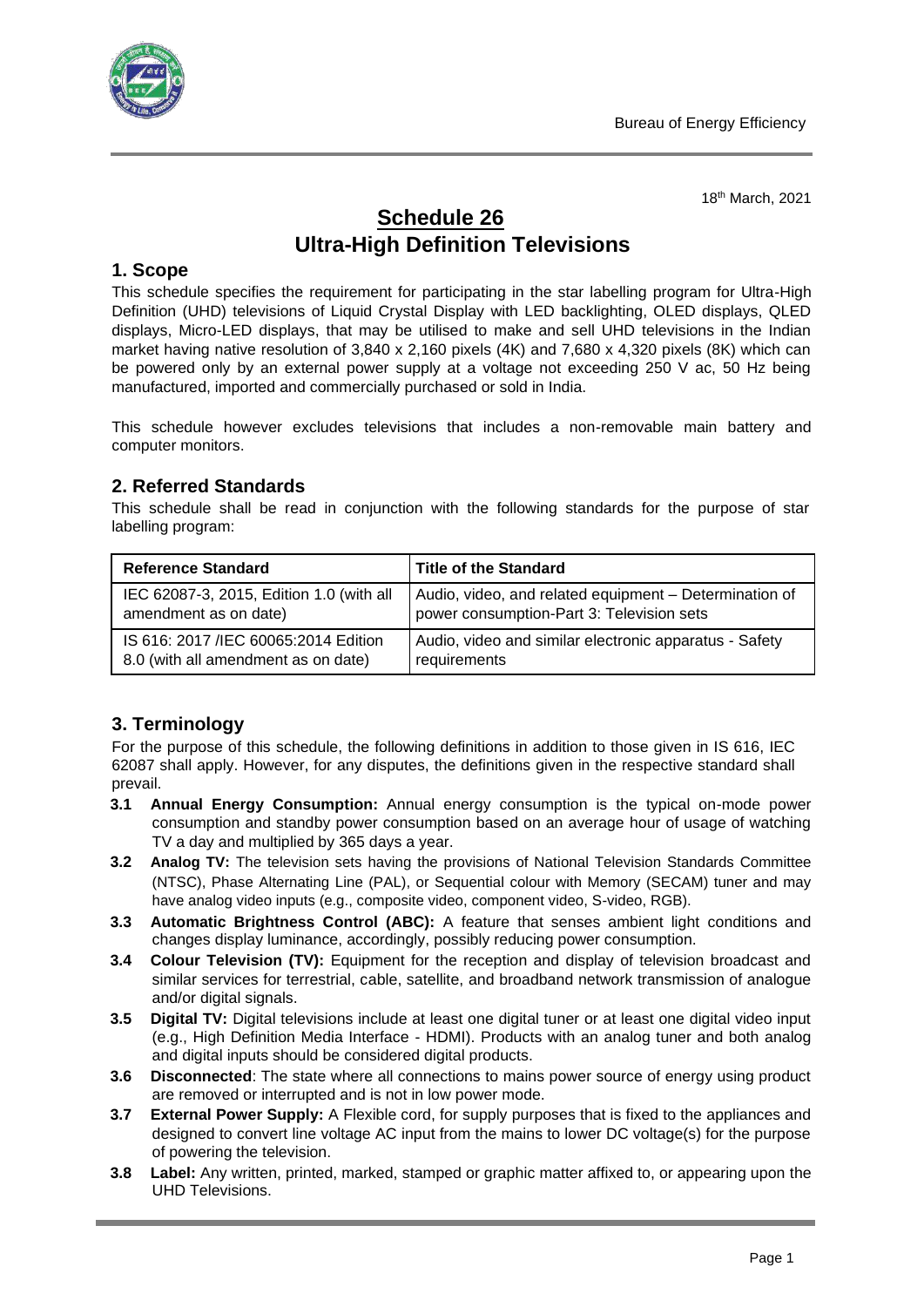

18 th March, 2021

# **Schedule 26 Ultra-High Definition Televisions**

# **1. Scope**

This schedule specifies the requirement for participating in the star labelling program for Ultra-High Definition (UHD) televisions of Liquid Crystal Display with LED backlighting, OLED displays, QLED displays, Micro-LED displays, that may be utilised to make and sell UHD televisions in the Indian market having native resolution of 3,840 x 2,160 pixels (4K) and 7,680 x 4,320 pixels (8K) which can be powered only by an external power supply at a voltage not exceeding 250 V ac, 50 Hz being manufactured, imported and commercially purchased or sold in India.

This schedule however excludes televisions that includes a non-removable main battery and computer monitors.

# **2. Referred Standards**

This schedule shall be read in conjunction with the following standards for the purpose of star labelling program:

| <b>Reference Standard</b>                | <b>Title of the Standard</b>                           |
|------------------------------------------|--------------------------------------------------------|
| IEC 62087-3, 2015, Edition 1.0 (with all | Audio, video, and related equipment - Determination of |
| amendment as on date)                    | power consumption-Part 3: Television sets              |
| IS 616: 2017 / IEC 60065:2014 Edition    | Audio, video and similar electronic apparatus - Safety |
| 8.0 (with all amendment as on date)      | requirements                                           |

# **3. Terminology**

For the purpose of this schedule, the following definitions in addition to those given in IS 616, IEC 62087 shall apply. However, for any disputes, the definitions given in the respective standard shall prevail.

- **3.1 Annual Energy Consumption:** Annual energy consumption is the typical on-mode power consumption and standby power consumption based on an average hour of usage of watching TV a day and multiplied by 365 days a year.
- **3.2 Analog TV:** The television sets having the provisions of National Television Standards Committee (NTSC), Phase Alternating Line (PAL), or Sequential colour with Memory (SECAM) tuner and may have analog video inputs (e.g., composite video, component video, S-video, RGB).
- **3.3 Automatic Brightness Control (ABC):** A feature that senses ambient light conditions and changes display luminance, accordingly, possibly reducing power consumption.
- **3.4 Colour Television (TV):** Equipment for the reception and display of television broadcast and similar services for terrestrial, cable, satellite, and broadband network transmission of analogue and/or digital signals.
- **3.5 Digital TV:** Digital televisions include at least one digital tuner or at least one digital video input (e.g., High Definition Media Interface - HDMI). Products with an analog tuner and both analog and digital inputs should be considered digital products.
- **3.6 Disconnected**: The state where all connections to mains power source of energy using product are removed or interrupted and is not in low power mode.
- **3.7 External Power Supply:** A Flexible cord, for supply purposes that is fixed to the appliances and designed to convert line voltage AC input from the mains to lower DC voltage(s) for the purpose of powering the television.
- **3.8 Label:** Any written, printed, marked, stamped or graphic matter affixed to, or appearing upon the UHD Televisions.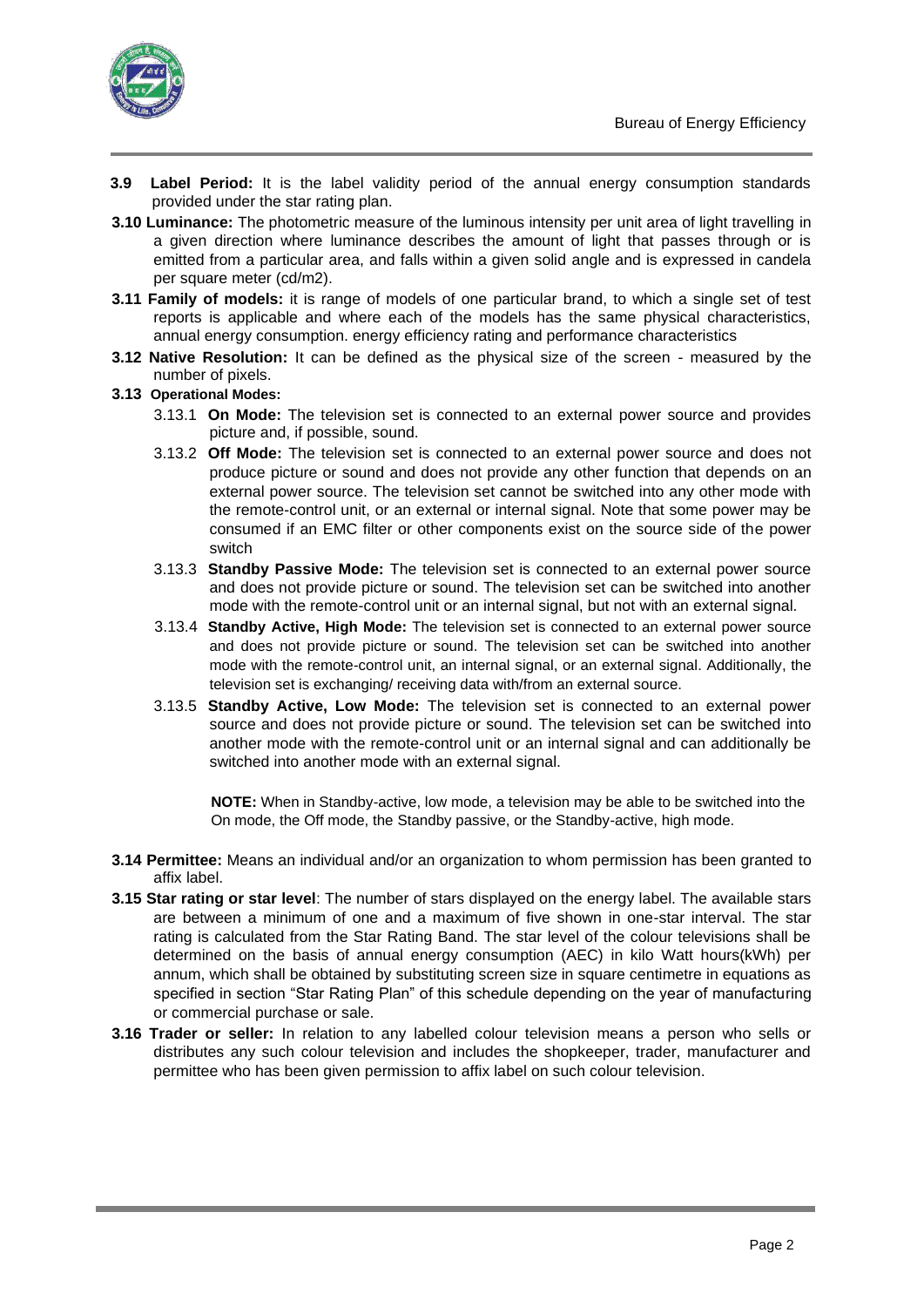

- **3.9 Label Period:** It is the label validity period of the annual energy consumption standards provided under the star rating plan.
- **3.10 Luminance:** The photometric measure of the luminous intensity per unit area of light travelling in a given direction where luminance describes the amount of light that passes through or is emitted from a particular area, and falls within a given solid angle and is expressed in candela per square meter (cd/m2).
- **3.11 Family of models:** it is range of models of one particular brand, to which a single set of test reports is applicable and where each of the models has the same physical characteristics, annual energy consumption. energy efficiency rating and performance characteristics
- **3.12 Native Resolution:** It can be defined as the physical size of the screen measured by the number of pixels.

#### **3.13 Operational Modes:**

- 3.13.1 **On Mode:** The television set is connected to an external power source and provides picture and, if possible, sound.
- 3.13.2 **Off Mode:** The television set is connected to an external power source and does not produce picture or sound and does not provide any other function that depends on an external power source. The television set cannot be switched into any other mode with the remote-control unit, or an external or internal signal. Note that some power may be consumed if an EMC filter or other components exist on the source side of the power switch
- 3.13.3 **Standby Passive Mode:** The television set is connected to an external power source and does not provide picture or sound. The television set can be switched into another mode with the remote-control unit or an internal signal, but not with an external signal.
- 3.13.4 **Standby Active, High Mode:** The television set is connected to an external power source and does not provide picture or sound. The television set can be switched into another mode with the remote-control unit, an internal signal, or an external signal. Additionally, the television set is exchanging/ receiving data with/from an external source.
- 3.13.5 **Standby Active, Low Mode:** The television set is connected to an external power source and does not provide picture or sound. The television set can be switched into another mode with the remote-control unit or an internal signal and can additionally be switched into another mode with an external signal.

**NOTE:** When in Standby-active, low mode, a television may be able to be switched into the On mode, the Off mode, the Standby passive, or the Standby-active, high mode.

- **3.14 Permittee:** Means an individual and/or an organization to whom permission has been granted to affix label.
- **3.15 Star rating or star level**: The number of stars displayed on the energy label. The available stars are between a minimum of one and a maximum of five shown in one-star interval. The star rating is calculated from the Star Rating Band. The star level of the colour televisions shall be determined on the basis of annual energy consumption (AEC) in kilo Watt hours(kWh) per annum, which shall be obtained by substituting screen size in square centimetre in equations as specified in section "Star Rating Plan" of this schedule depending on the year of manufacturing or commercial purchase or sale.
- **3.16 Trader or seller:** In relation to any labelled colour television means a person who sells or distributes any such colour television and includes the shopkeeper, trader, manufacturer and permittee who has been given permission to affix label on such colour television.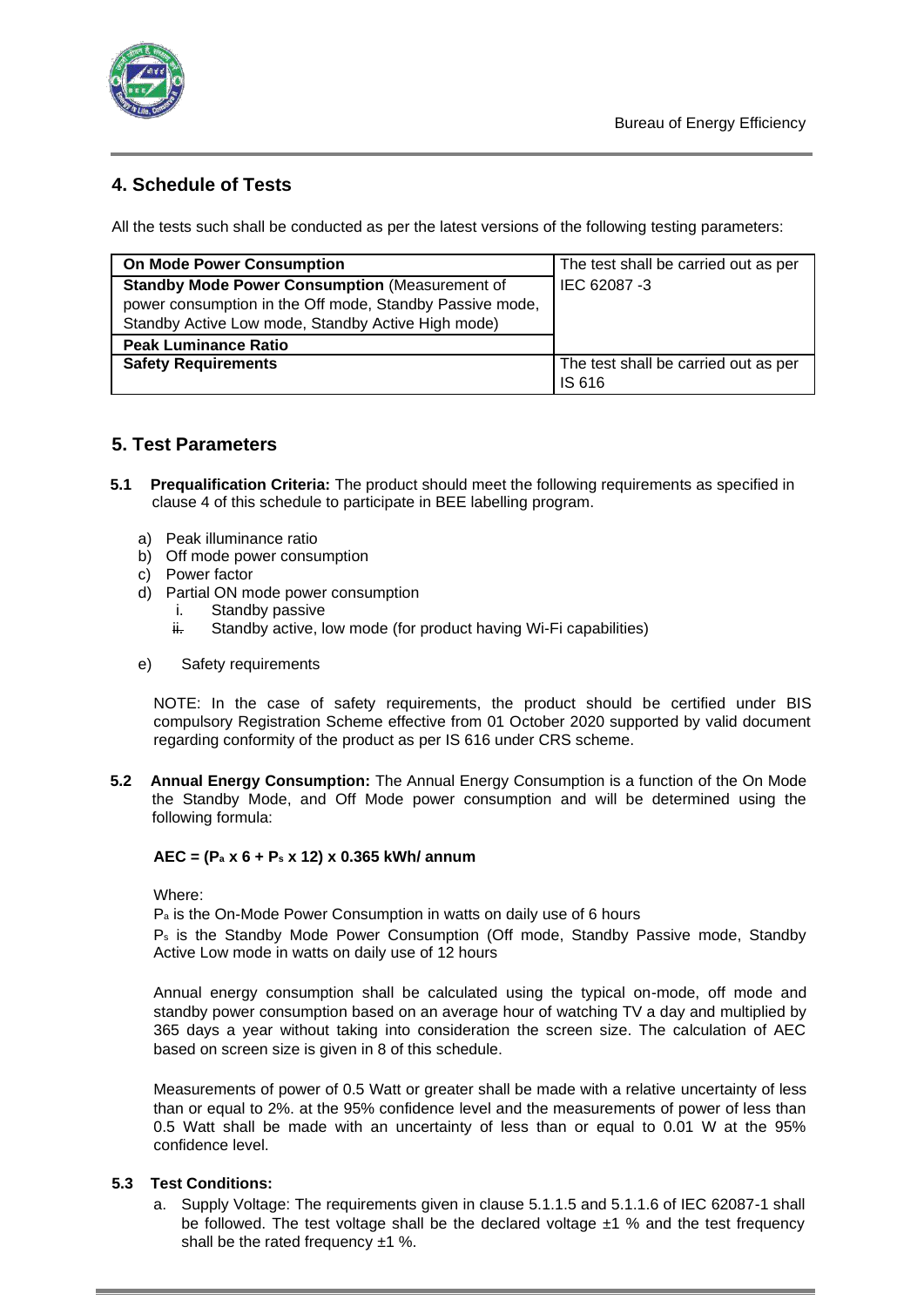

# **4. Schedule of Tests**

All the tests such shall be conducted as per the latest versions of the following testing parameters:

| <b>On Mode Power Consumption</b>                         | The test shall be carried out as per |
|----------------------------------------------------------|--------------------------------------|
| <b>Standby Mode Power Consumption (Measurement of</b>    | IEC 62087-3                          |
| power consumption in the Off mode, Standby Passive mode, |                                      |
| Standby Active Low mode, Standby Active High mode)       |                                      |
| <b>Peak Luminance Ratio</b>                              |                                      |
| <b>Safety Requirements</b>                               | The test shall be carried out as per |
|                                                          | IS 616                               |

# **5. Test Parameters**

- **5.1 Prequalification Criteria:** The product should meet the following requirements as specified in clause 4 of this schedule to participate in BEE labelling program.
	- a) Peak illuminance ratio
	- b) Off mode power consumption
	- c) Power factor
	- d) Partial ON mode power consumption
		- i. Standby passive
		- $\ddot{H}$ . Standby active, low mode (for product having Wi-Fi capabilities)
	- e) Safety requirements

NOTE: In the case of safety requirements, the product should be certified under BIS compulsory Registration Scheme effective from 01 October 2020 supported by valid document regarding conformity of the product as per IS 616 under CRS scheme.

**5.2 Annual Energy Consumption:** The Annual Energy Consumption is a function of the On Mode the Standby Mode, and Off Mode power consumption and will be determined using the following formula:

# **AEC = (P<sup>a</sup> x 6 + P<sup>s</sup> x 12) x 0.365 kWh/ annum**

Where:

P<sup>a</sup> is the On-Mode Power Consumption in watts on daily use of 6 hours

P<sup>s</sup> is the Standby Mode Power Consumption (Off mode, Standby Passive mode, Standby Active Low mode in watts on daily use of 12 hours

Annual energy consumption shall be calculated using the typical on-mode, off mode and standby power consumption based on an average hour of watching TV a day and multiplied by 365 days a year without taking into consideration the screen size. The calculation of AEC based on screen size is given in 8 of this schedule.

Measurements of power of 0.5 Watt or greater shall be made with a relative uncertainty of less than or equal to 2%. at the 95% confidence level and the measurements of power of less than 0.5 Watt shall be made with an uncertainty of less than or equal to 0.01 W at the 95% confidence level.

# **5.3 Test Conditions:**

a. Supply Voltage: The requirements given in clause 5.1.1.5 and 5.1.1.6 of IEC 62087-1 shall be followed. The test voltage shall be the declared voltage  $\pm 1$  % and the test frequency shall be the rated frequency ±1 %.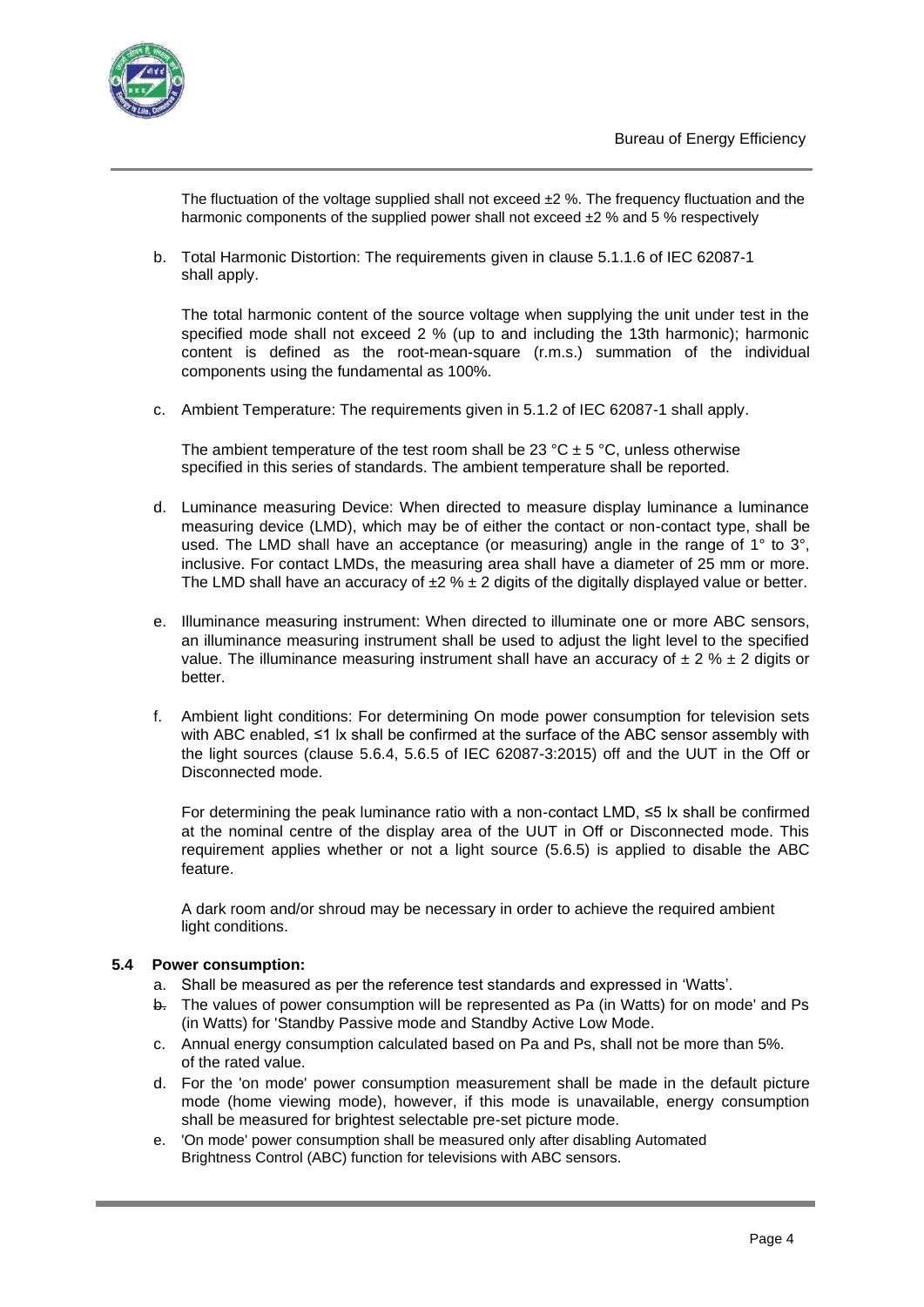

The fluctuation of the voltage supplied shall not exceed  $\pm 2$  %. The frequency fluctuation and the harmonic components of the supplied power shall not exceed  $\pm 2$  % and 5 % respectively

b. Total Harmonic Distortion: The requirements given in clause 5.1.1.6 of IEC 62087-1 shall apply.

The total harmonic content of the source voltage when supplying the unit under test in the specified mode shall not exceed 2 % (up to and including the 13th harmonic); harmonic content is defined as the root-mean-square (r.m.s.) summation of the individual components using the fundamental as 100%.

c. Ambient Temperature: The requirements given in 5.1.2 of IEC 62087-1 shall apply.

The ambient temperature of the test room shall be 23 °C  $\pm$  5 °C, unless otherwise specified in this series of standards. The ambient temperature shall be reported.

- d. Luminance measuring Device: When directed to measure display luminance a luminance measuring device (LMD), which may be of either the contact or non-contact type, shall be used. The LMD shall have an acceptance (or measuring) angle in the range of  $1^{\circ}$  to  $3^{\circ}$ , inclusive. For contact LMDs, the measuring area shall have a diameter of 25 mm or more. The LMD shall have an accuracy of  $\pm 2$  %  $\pm 2$  digits of the digitally displayed value or better.
- e. Illuminance measuring instrument: When directed to illuminate one or more ABC sensors, an illuminance measuring instrument shall be used to adjust the light level to the specified value. The illuminance measuring instrument shall have an accuracy of  $\pm 2$  %  $\pm 2$  digits or better.
- f. Ambient light conditions: For determining On mode power consumption for television sets with ABC enabled, ≤1 lx shall be confirmed at the surface of the ABC sensor assembly with the light sources (clause 5.6.4, 5.6.5 of IEC 62087-3:2015) off and the UUT in the Off or Disconnected mode.

For determining the peak luminance ratio with a non-contact LMD, ≤5 lx shall be confirmed at the nominal centre of the display area of the UUT in Off or Disconnected mode. This requirement applies whether or not a light source (5.6.5) is applied to disable the ABC feature.

A dark room and/or shroud may be necessary in order to achieve the required ambient light conditions.

#### **5.4 Power consumption:**

- a. Shall be measured as per the reference test standards and expressed in 'Watts'.
- b. The values of power consumption will be represented as Pa (in Watts) for on mode' and Ps (in Watts) for 'Standby Passive mode and Standby Active Low Mode.
- c. Annual energy consumption calculated based on Pa and Ps, shall not be more than 5%. of the rated value.
- d. For the 'on mode' power consumption measurement shall be made in the default picture mode (home viewing mode), however, if this mode is unavailable, energy consumption shall be measured for brightest selectable pre-set picture mode.
- e. 'On mode' power consumption shall be measured only after disabling Automated Brightness Control (ABC) function for televisions with ABC sensors.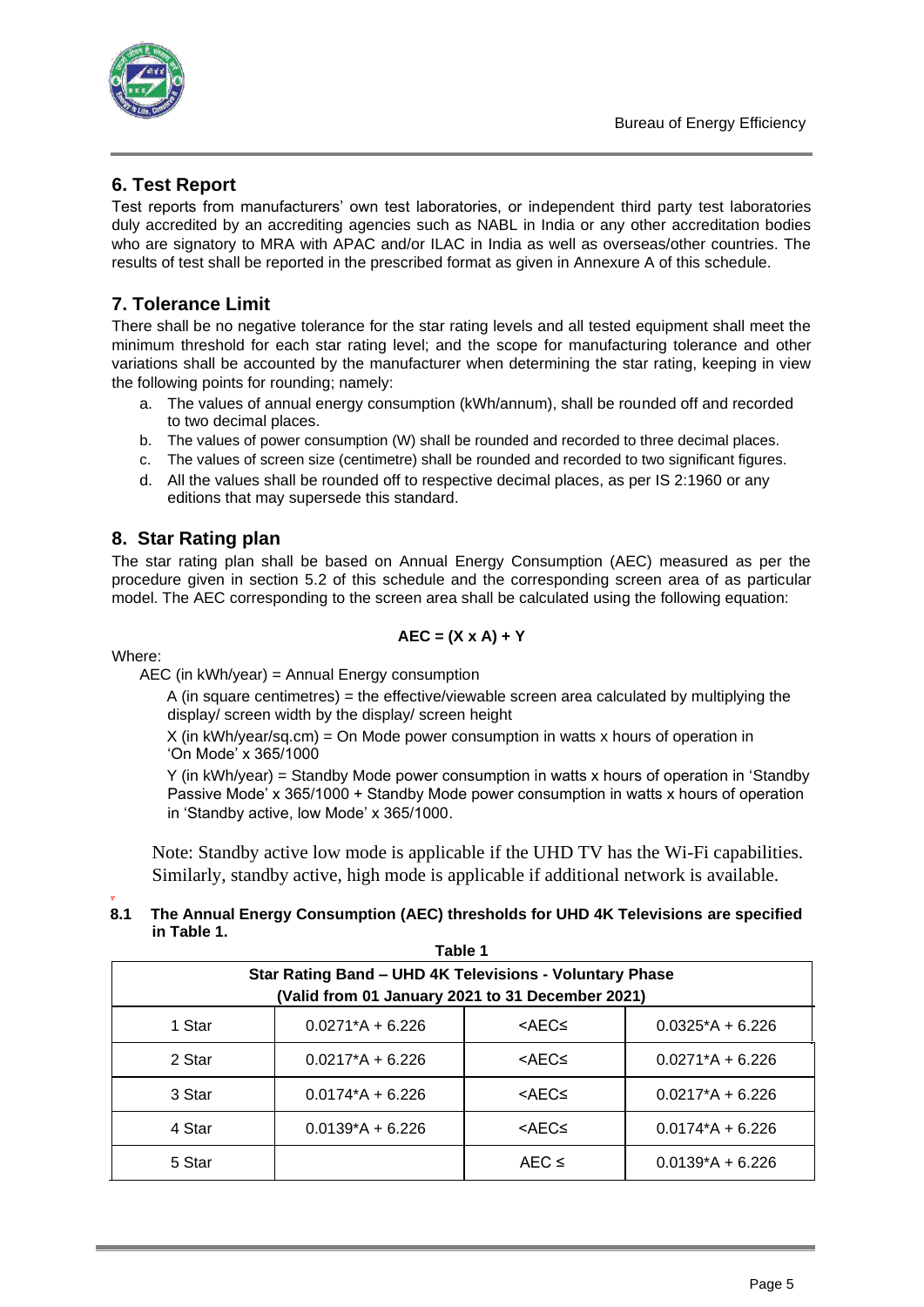

# **6. Test Report**

Test reports from manufacturers' own test laboratories, or independent third party test laboratories duly accredited by an accrediting agencies such as NABL in India or any other accreditation bodies who are signatory to MRA with APAC and/or ILAC in India as well as overseas/other countries. The results of test shall be reported in the prescribed format as given in Annexure A of this schedule.

# **7. Tolerance Limit**

There shall be no negative tolerance for the star rating levels and all tested equipment shall meet the minimum threshold for each star rating level; and the scope for manufacturing tolerance and other variations shall be accounted by the manufacturer when determining the star rating, keeping in view the following points for rounding; namely:

- a. The values of annual energy consumption (kWh/annum), shall be rounded off and recorded to two decimal places.
- b. The values of power consumption (W) shall be rounded and recorded to three decimal places.
- c. The values of screen size (centimetre) shall be rounded and recorded to two significant figures.
- d. All the values shall be rounded off to respective decimal places, as per IS 2:1960 or any editions that may supersede this standard.

# **8. Star Rating plan**

The star rating plan shall be based on Annual Energy Consumption (AEC) measured as per the procedure given in section 5.2 of this schedule and the corresponding screen area of as particular model. The AEC corresponding to the screen area shall be calculated using the following equation:

$$
AEC = (X \times A) + Y
$$

# Where:

AEC (in kWh/year) = Annual Energy consumption

A (in square centimetres) = the effective/viewable screen area calculated by multiplying the display/ screen width by the display/ screen height

 $X$  (in kWh/year/sq.cm) = On Mode power consumption in watts x hours of operation in 'On Mode' x 365/1000

Y (in kWh/year) = Standby Mode power consumption in watts x hours of operation in 'Standby Passive Mode' x 365/1000 + Standby Mode power consumption in watts x hours of operation in 'Standby active, low Mode' x 365/1000.

 Note: Standby active low mode is applicable if the UHD TV has the Wi-Fi capabilities. Similarly, standby active, high mode is applicable if additional network is available.

#### . **8.1 The Annual Energy Consumption (AEC) thresholds for UHD 4K Televisions are specified in Table 1.**

| Table 1<br>Star Rating Band - UHD 4K Televisions - Voluntary Phase |                                                  |                                                             |                    |
|--------------------------------------------------------------------|--------------------------------------------------|-------------------------------------------------------------|--------------------|
|                                                                    | (Valid from 01 January 2021 to 31 December 2021) |                                                             |                    |
| 1 Star                                                             | $0.0271*A + 6.226$                               | <aec≤< td=""><td><math>0.0325*A + 6.226</math></td></aec≤<> | $0.0325*A + 6.226$ |
| 2 Star                                                             | $0.0217*A + 6.226$                               | <aec≤< td=""><td><math>0.0271*A + 6.226</math></td></aec≤<> | $0.0271*A + 6.226$ |
| 3 Star                                                             | $0.0174*A + 6.226$                               | <aec≤< td=""><td><math>0.0217*A + 6.226</math></td></aec≤<> | $0.0217*A + 6.226$ |
| 4 Star                                                             | $0.0139*A + 6.226$                               | <aec≤< td=""><td><math>0.0174*A + 6.226</math></td></aec≤<> | $0.0174*A + 6.226$ |
| 5 Star                                                             |                                                  | $AEC \leq$                                                  | $0.0139*A + 6.226$ |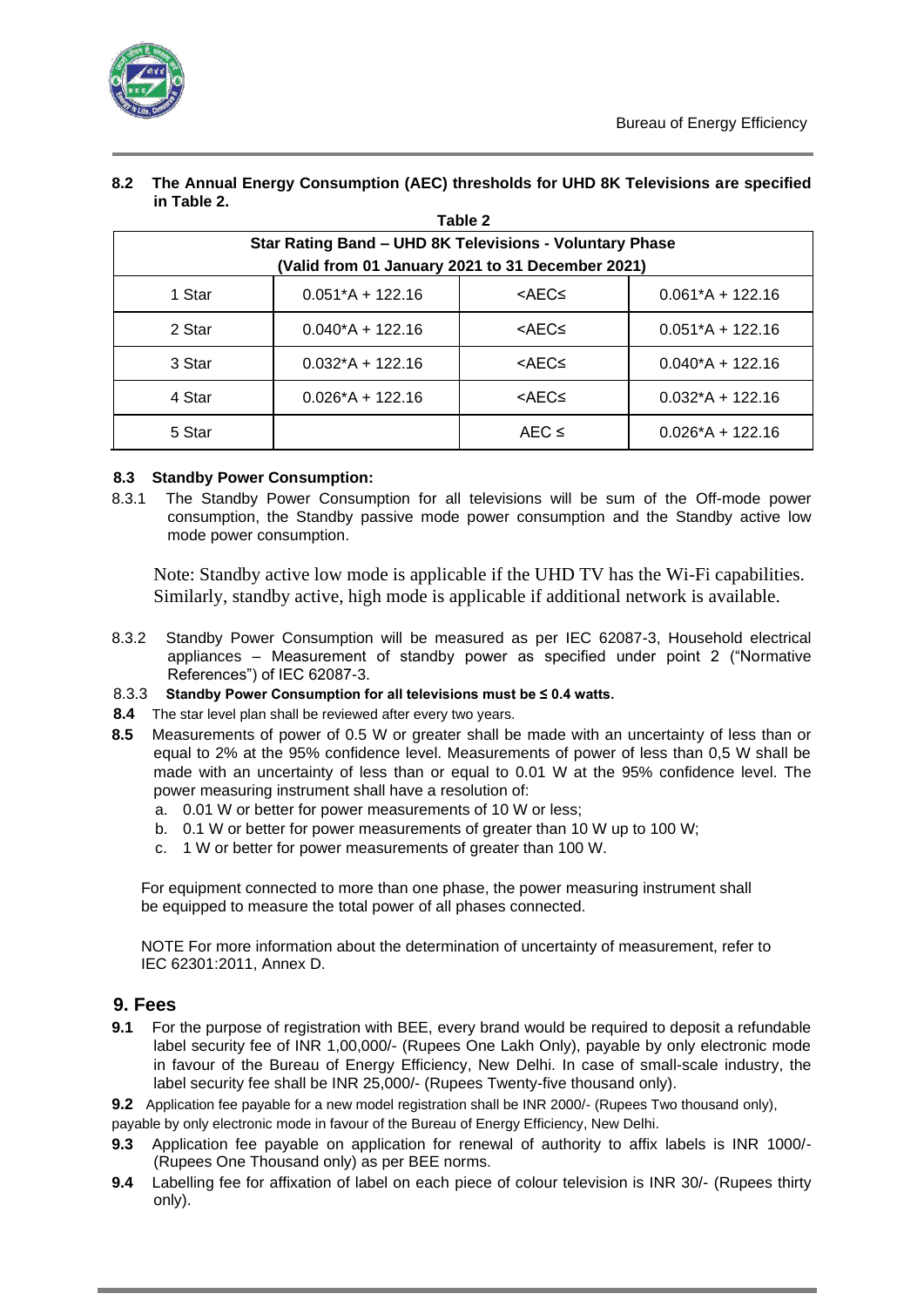

| in Table 2. |                                                         |                                                             |                    |
|-------------|---------------------------------------------------------|-------------------------------------------------------------|--------------------|
|             |                                                         | Table 2                                                     |                    |
|             | Star Rating Band - UHD 8K Televisions - Voluntary Phase |                                                             |                    |
|             | (Valid from 01 January 2021 to 31 December 2021)        |                                                             |                    |
| 1 Star      | $0.051*A + 122.16$                                      | <aec≤< td=""><td><math>0.061*A + 122.16</math></td></aec≤<> | $0.061*A + 122.16$ |
| 2 Star      | $0.040*A + 122.16$                                      | <aec≤< td=""><td><math>0.051*A + 122.16</math></td></aec≤<> | $0.051*A + 122.16$ |
| 3 Star      | $0.032*A + 122.16$                                      | <aec≤< td=""><td><math>0.040*A + 122.16</math></td></aec≤<> | $0.040*A + 122.16$ |
| 4 Star      | $0.026*A + 122.16$                                      | <aec≤< td=""><td><math>0.032*A + 122.16</math></td></aec≤<> | $0.032*A + 122.16$ |
| 5 Star      |                                                         | $AEC \leq$                                                  | $0.026*A + 122.16$ |

# **8.2 The Annual Energy Consumption (AEC) thresholds for UHD 8K Televisions are specified**

## **8.3 Standby Power Consumption:**

8.3.1 The Standby Power Consumption for all televisions will be sum of the Off-mode power consumption, the Standby passive mode power consumption and the Standby active low mode power consumption.

 Note: Standby active low mode is applicable if the UHD TV has the Wi-Fi capabilities. Similarly, standby active, high mode is applicable if additional network is available.

- 8.3.2 Standby Power Consumption will be measured as per IEC 62087-3, Household electrical appliances – Measurement of standby power as specified under point 2 ("Normative References") of IEC 62087-3.
- 8.3.3 **Standby Power Consumption for all televisions must be ≤ 0.4 watts.**
- **8.4** The star level plan shall be reviewed after every two years.
- **8.5** Measurements of power of 0.5 W or greater shall be made with an uncertainty of less than or equal to 2% at the 95% confidence level. Measurements of power of less than 0,5 W shall be made with an uncertainty of less than or equal to 0.01 W at the 95% confidence level. The power measuring instrument shall have a resolution of:
	- a. 0.01 W or better for power measurements of 10 W or less;
	- b. 0.1 W or better for power measurements of greater than 10 W up to 100 W;
	- c. 1 W or better for power measurements of greater than 100 W.

For equipment connected to more than one phase, the power measuring instrument shall be equipped to measure the total power of all phases connected.

NOTE For more information about the determination of uncertainty of measurement, refer to IEC 62301:2011, Annex D.

# **9. Fees**

**9.1** For the purpose of registration with BEE, every brand would be required to deposit a refundable label security fee of INR 1,00,000/- (Rupees One Lakh Only), payable by only electronic mode in favour of the Bureau of Energy Efficiency, New Delhi. In case of small-scale industry, the label security fee shall be INR 25,000/- (Rupees Twenty-five thousand only).

**9.2** Application fee payable for a new model registration shall be INR 2000/- (Rupees Two thousand only),

payable by only electronic mode in favour of the Bureau of Energy Efficiency, New Delhi.

- **9.3** Application fee payable on application for renewal of authority to affix labels is INR 1000/- (Rupees One Thousand only) as per BEE norms.
- **9.4** Labelling fee for affixation of label on each piece of colour television is INR 30/- (Rupees thirty only).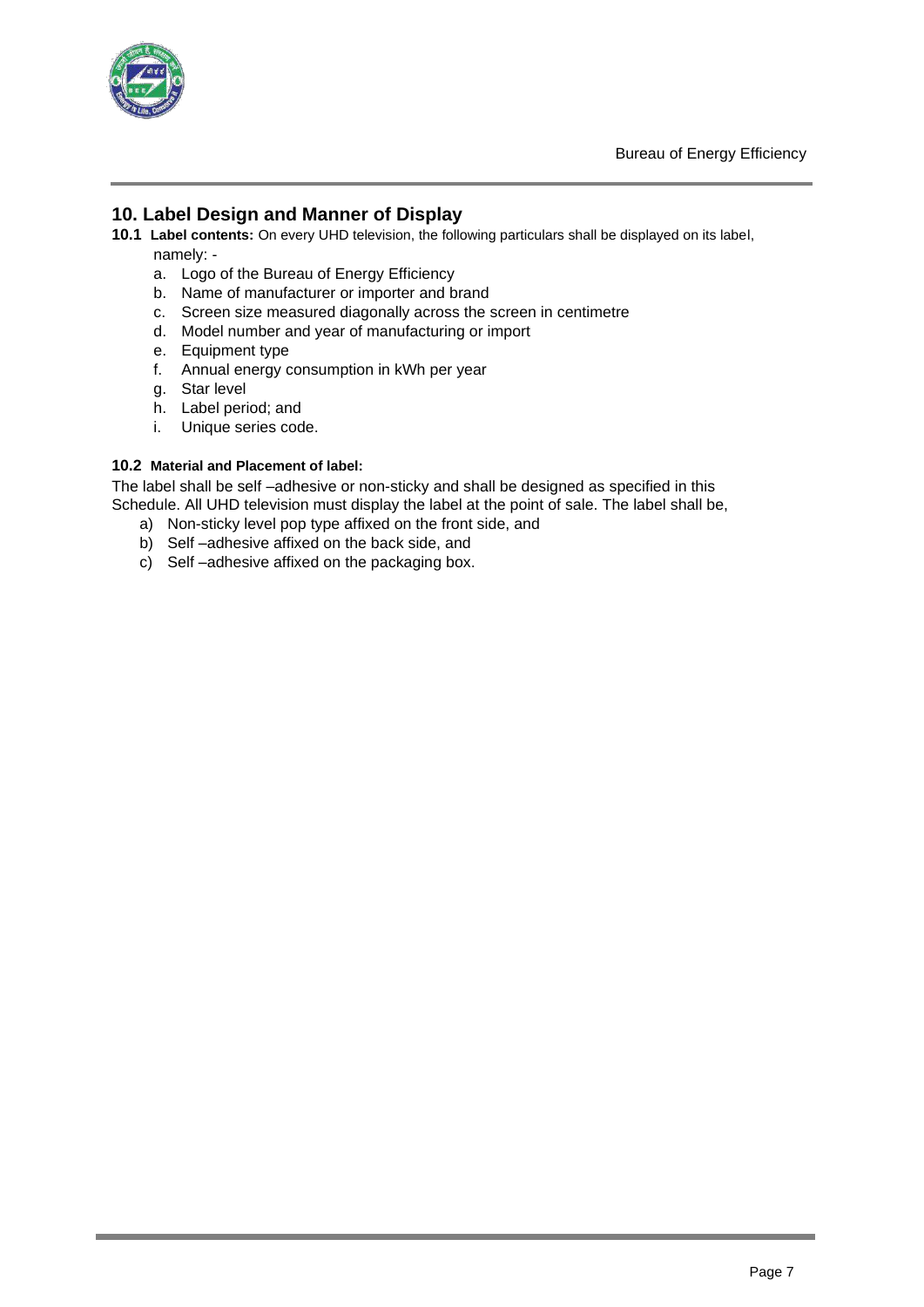

# **10. Label Design and Manner of Display**

- **10.1 Label contents:** On every UHD television, the following particulars shall be displayed on its label, namely:
	- a. Logo of the Bureau of Energy Efficiency
	- b. Name of manufacturer or importer and brand
	- c. Screen size measured diagonally across the screen in centimetre
	- d. Model number and year of manufacturing or import
	- e. Equipment type
	- f. Annual energy consumption in kWh per year
	- g. Star level
	- h. Label period; and
	- i. Unique series code.

#### **10.2 Material and Placement of label:**

The label shall be self –adhesive or non-sticky and shall be designed as specified in this Schedule. All UHD television must display the label at the point of sale. The label shall be,

- a) Non-sticky level pop type affixed on the front side, and
- b) Self –adhesive affixed on the back side, and
- c) Self –adhesive affixed on the packaging box.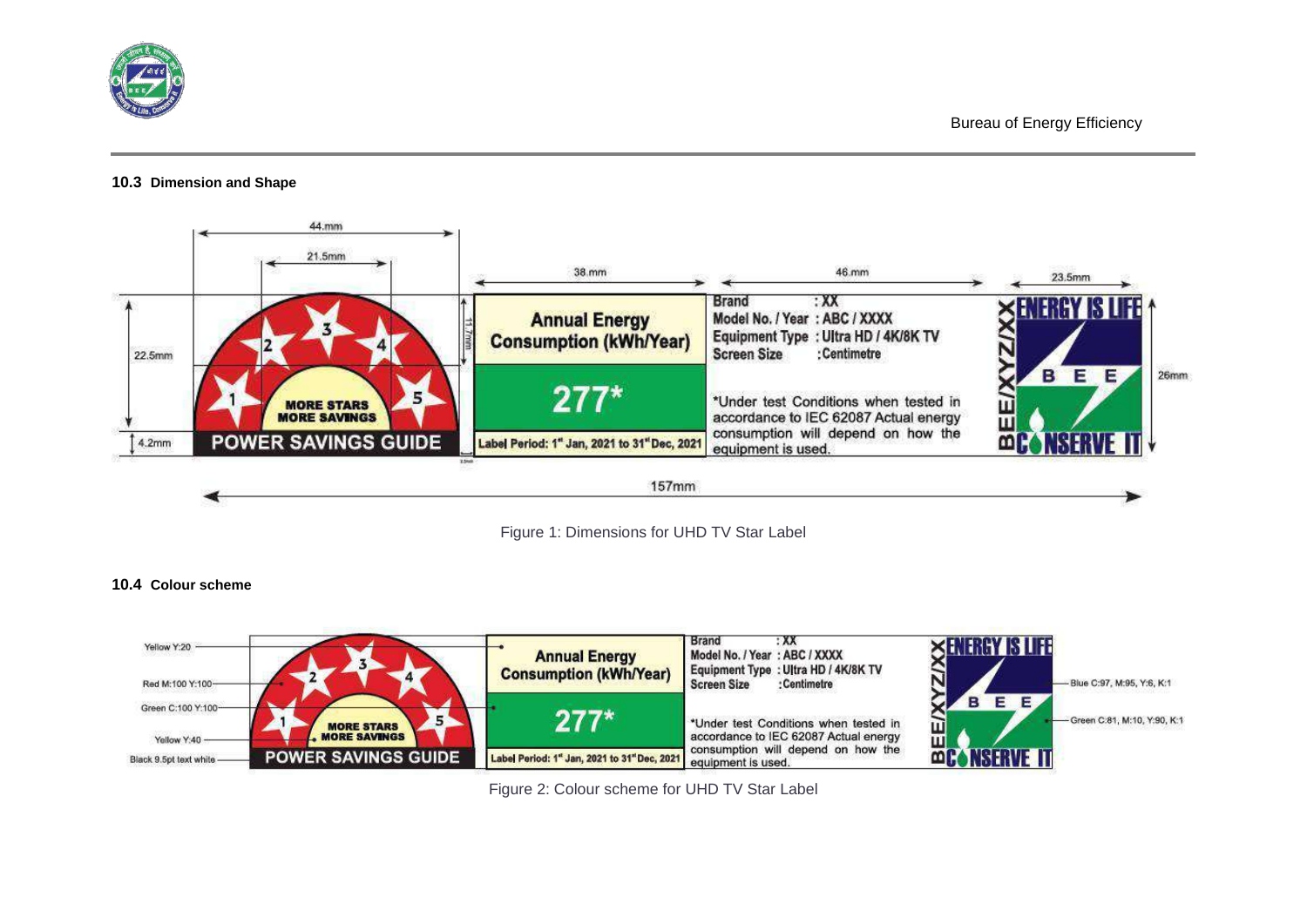

#### **10.3 Dimension and Shape**



Figure 1: Dimensions for UHD TV Star Label

#### **10.4 Colour scheme**



Figure 2: Colour scheme for UHD TV Star Label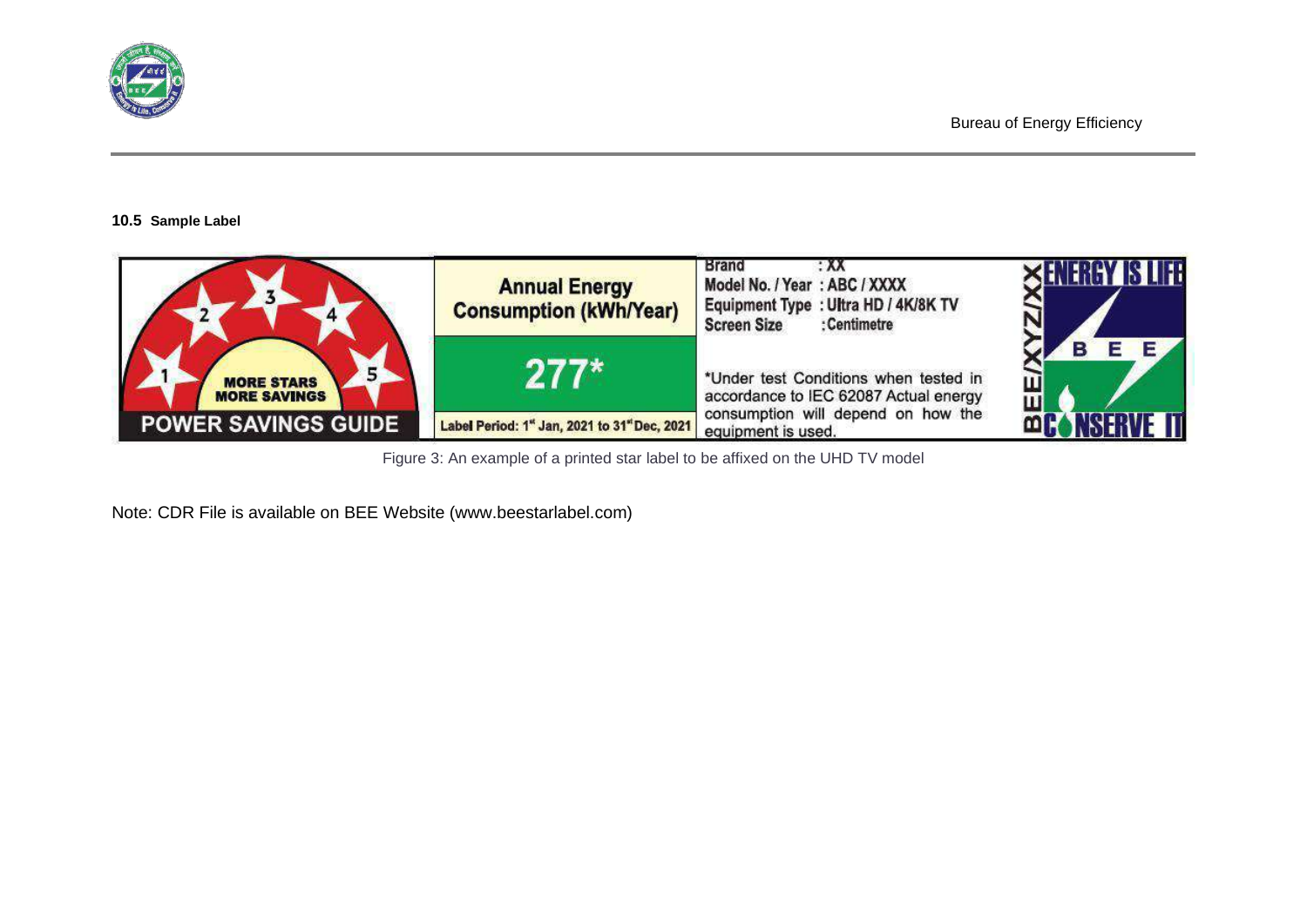

#### **10.5 Sample Label**



Figure 3: An example of a printed star label to be affixed on the UHD TV model

Note: CDR File is available on BEE Website (www.beestarlabel.com)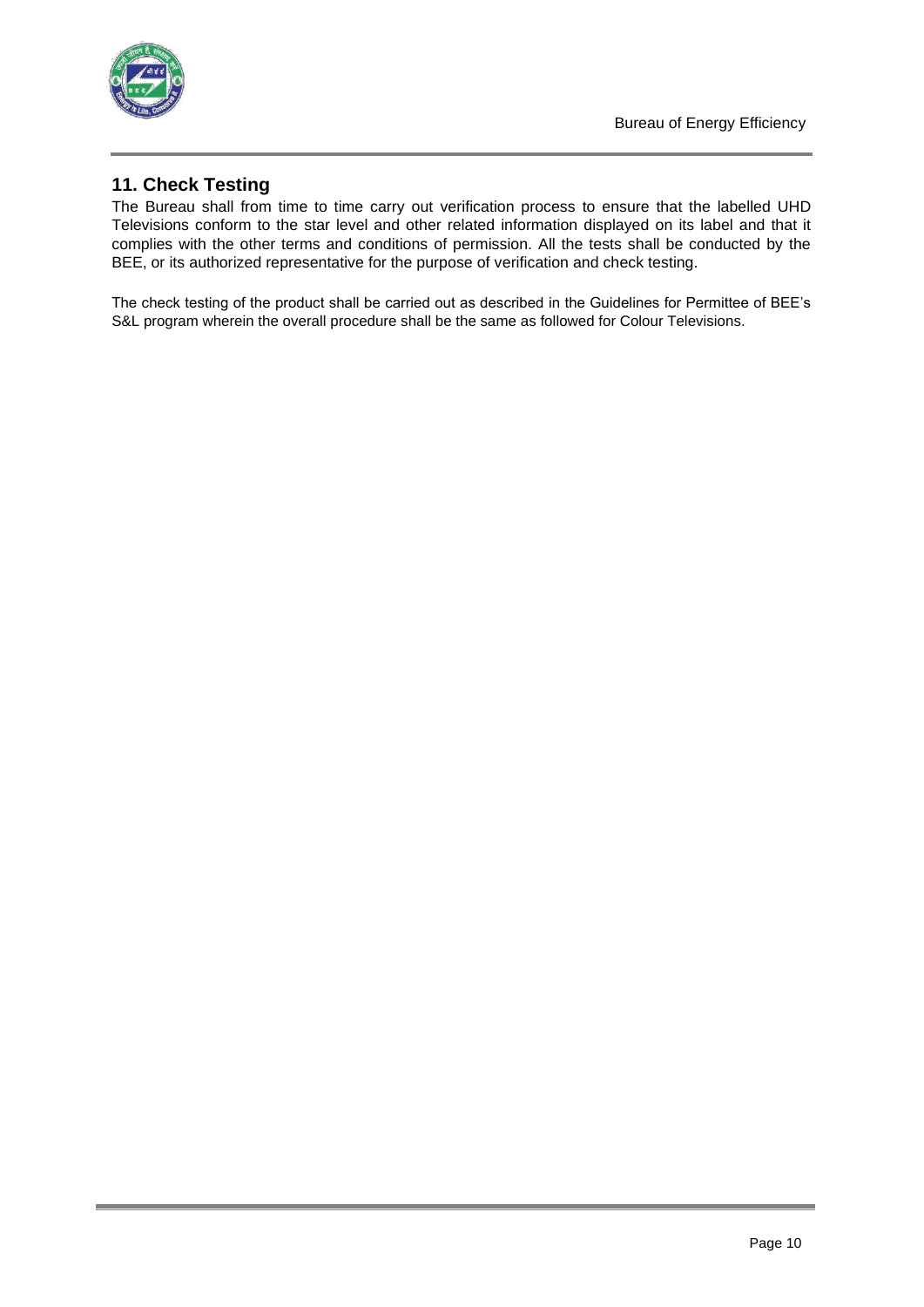

# **11. Check Testing**

The Bureau shall from time to time carry out verification process to ensure that the labelled UHD Televisions conform to the star level and other related information displayed on its label and that it complies with the other terms and conditions of permission. All the tests shall be conducted by the BEE, or its authorized representative for the purpose of verification and check testing.

The check testing of the product shall be carried out as described in the Guidelines for Permittee of BEE's S&L program wherein the overall procedure shall be the same as followed for Colour Televisions.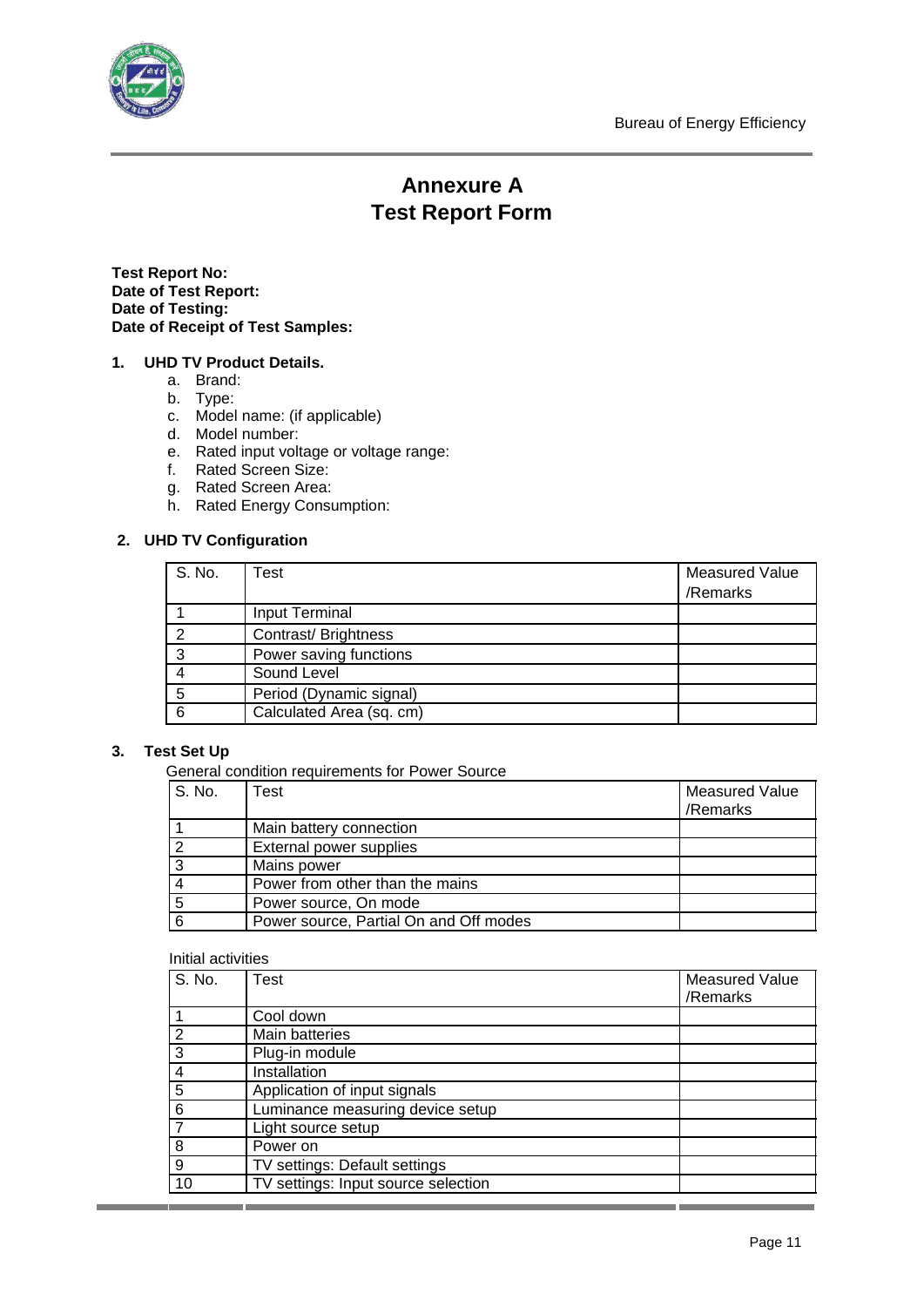

# **Annexure A Test Report Form**

**Test Report No: Date of Test Report: Date of Testing: Date of Receipt of Test Samples:**

### **1. UHD TV Product Details.**

- a. Brand:
- b. Type:
- c. Model name: (if applicable)
- d. Model number:
- e. Rated input voltage or voltage range:
- f. Rated Screen Size:
- g. Rated Screen Area:
- h. Rated Energy Consumption:

## **2. UHD TV Configuration**

| S. No. | Test                     | <b>Measured Value</b><br>/Remarks |
|--------|--------------------------|-----------------------------------|
|        | Input Terminal           |                                   |
| ົ      | Contrast/Brightness      |                                   |
| -3     | Power saving functions   |                                   |
|        | Sound Level              |                                   |
| 5      | Period (Dynamic signal)  |                                   |
| 6      | Calculated Area (sq. cm) |                                   |

### **3. Test Set Up**

General condition requirements for Power Source

| S. No. | est                                    | <b>Measured Value</b><br>/Remarks |
|--------|----------------------------------------|-----------------------------------|
|        | Main battery connection                |                                   |
| າ      | External power supplies                |                                   |
|        | Mains power                            |                                   |
|        | Power from other than the mains        |                                   |
| 5      | Power source, On mode                  |                                   |
| 6      | Power source, Partial On and Off modes |                                   |

#### Initial activities

| S. No. | <b>Test</b>                         | <b>Measured Value</b> |
|--------|-------------------------------------|-----------------------|
|        |                                     | /Remarks              |
|        | Cool down                           |                       |
|        | Main batteries                      |                       |
| 3      | Plug-in module                      |                       |
| 4      | Installation                        |                       |
| 5      | Application of input signals        |                       |
| 6      | Luminance measuring device setup    |                       |
|        | Light source setup                  |                       |
| 8      | Power on                            |                       |
| 9      | TV settings: Default settings       |                       |
| 10     | TV settings: Input source selection |                       |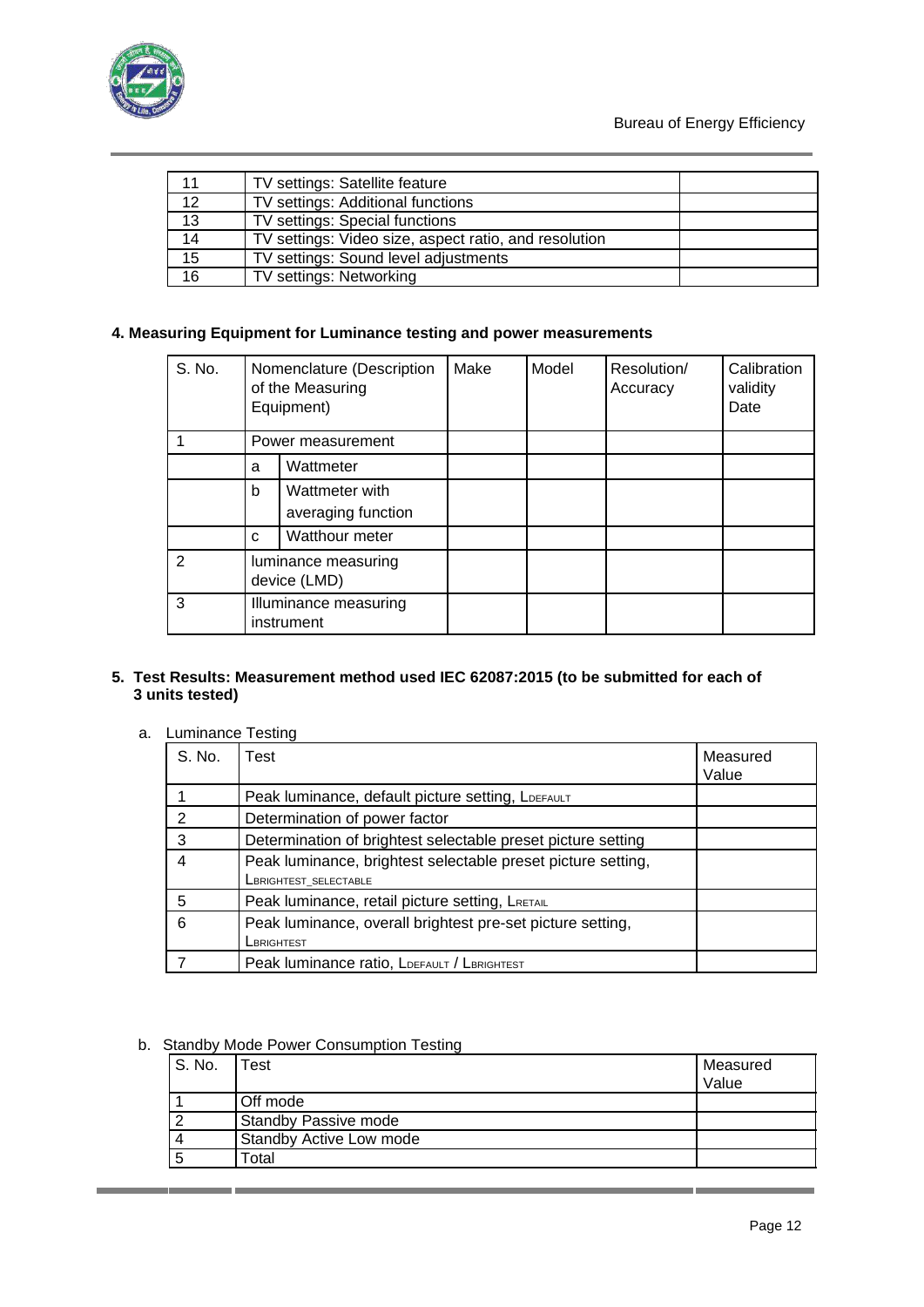

| 11              | TV settings: Satellite feature                        |  |
|-----------------|-------------------------------------------------------|--|
| $\overline{12}$ | TV settings: Additional functions                     |  |
| 13              | TV settings: Special functions                        |  |
| 14              | TV settings: Video size, aspect ratio, and resolution |  |
| 15              | TV settings: Sound level adjustments                  |  |
| 16              | TV settings: Networking                               |  |

# **4. Measuring Equipment for Luminance testing and power measurements**

| S. No.        | Nomenclature (Description<br>of the Measuring<br>Equipment) |                    | Make | Model | Resolution/<br>Accuracy | Calibration<br>validity<br>Date |
|---------------|-------------------------------------------------------------|--------------------|------|-------|-------------------------|---------------------------------|
|               |                                                             | Power measurement  |      |       |                         |                                 |
|               | a                                                           | Wattmeter          |      |       |                         |                                 |
|               | b                                                           | Wattmeter with     |      |       |                         |                                 |
|               |                                                             | averaging function |      |       |                         |                                 |
|               | C                                                           | Watthour meter     |      |       |                         |                                 |
| $\mathcal{P}$ | luminance measuring<br>device (LMD)                         |                    |      |       |                         |                                 |
| 3             | Illuminance measuring<br>instrument                         |                    |      |       |                         |                                 |

### **5. Test Results: Measurement method used IEC 62087:2015 (to be submitted for each of 3 units tested)**

a. Luminance Testing

| S. No.        | Test                                                         | Measured<br>Value |
|---------------|--------------------------------------------------------------|-------------------|
|               | Peak luminance, default picture setting, LDEFAULT            |                   |
| $\mathcal{P}$ | Determination of power factor                                |                   |
| 3             | Determination of brightest selectable preset picture setting |                   |
| 4             | Peak luminance, brightest selectable preset picture setting, |                   |
|               | <b>LBRIGHTEST SELECTABLE</b>                                 |                   |
| 5             | Peak luminance, retail picture setting, LRETAIL              |                   |
| 6             | Peak luminance, overall brightest pre-set picture setting,   |                   |
|               | LBRIGHTEST                                                   |                   |
|               | Peak luminance ratio, LDEFAULT / LBRIGHTEST                  |                   |

b. Standby Mode Power Consumption Testing

| S. No. | Test                           | Measured<br>Value |
|--------|--------------------------------|-------------------|
|        | Off mode                       |                   |
|        | <b>Standby Passive mode</b>    |                   |
|        | <b>Standby Active Low mode</b> |                   |
|        | Total                          |                   |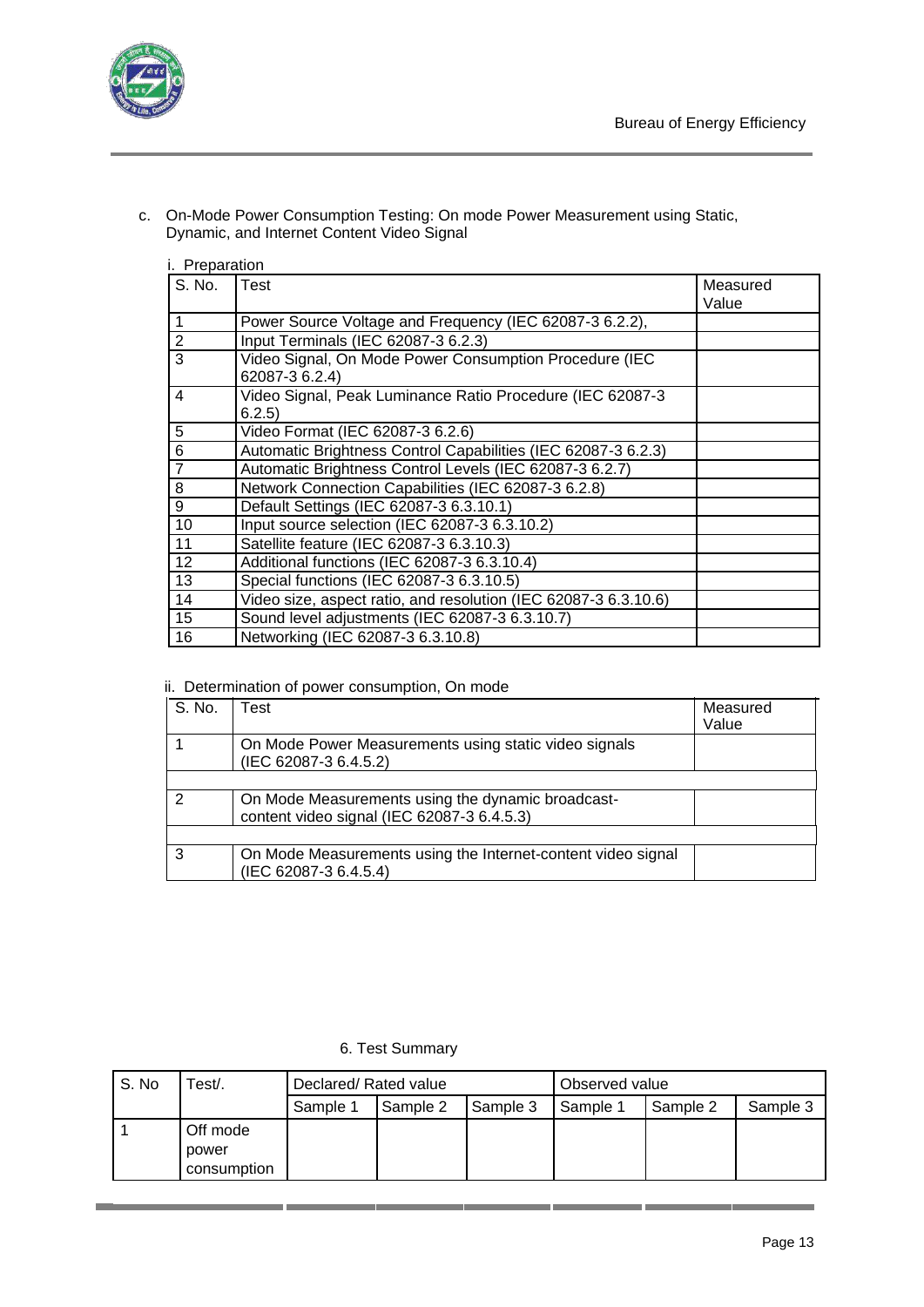

c. On-Mode Power Consumption Testing: On mode Power Measurement using Static, Dynamic, and Internet Content Video Signal

| i. Preparation |
|----------------|
|                |

| S. No.         | Test                                                                     | Measured |
|----------------|--------------------------------------------------------------------------|----------|
|                |                                                                          | Value    |
| 1              | Power Source Voltage and Frequency (IEC 62087-3 6.2.2),                  |          |
| $\overline{2}$ | Input Terminals (IEC 62087-3 6.2.3)                                      |          |
| 3              | Video Signal, On Mode Power Consumption Procedure (IEC<br>62087-3 6.2.4) |          |
| 4              | Video Signal, Peak Luminance Ratio Procedure (IEC 62087-3<br>6.2.5)      |          |
| 5              | Video Format (IEC 62087-3 6.2.6)                                         |          |
| 6              | Automatic Brightness Control Capabilities (IEC 62087-3 6.2.3)            |          |
| $\overline{7}$ | Automatic Brightness Control Levels (IEC 62087-3 6.2.7)                  |          |
| 8              | Network Connection Capabilities (IEC 62087-3 6.2.8)                      |          |
| 9              | Default Settings (IEC 62087-3 6.3.10.1)                                  |          |
| 10             | Input source selection (IEC 62087-3 6.3.10.2)                            |          |
| 11             | Satellite feature (IEC 62087-3 6.3.10.3)                                 |          |
| 12             | Additional functions (IEC 62087-3 6.3.10.4)                              |          |
| 13             | Special functions (IEC 62087-3 6.3.10.5)                                 |          |
| 14             | Video size, aspect ratio, and resolution (IEC 62087-3 6.3.10.6)          |          |
| 15             | Sound level adjustments (IEC 62087-3 6.3.10.7)                           |          |
| 16             | Networking (IEC 62087-3 6.3.10.8)                                        |          |

#### ii. Determination of power consumption, On mode

| S. No. | Test                                                                                            | Measured<br>Value |
|--------|-------------------------------------------------------------------------------------------------|-------------------|
|        | On Mode Power Measurements using static video signals<br>(IEC 62087-3 6.4.5.2)                  |                   |
|        |                                                                                                 |                   |
|        | On Mode Measurements using the dynamic broadcast-<br>content video signal (IEC 62087-3 6.4.5.3) |                   |
|        |                                                                                                 |                   |
| 3      | On Mode Measurements using the Internet-content video signal<br>(IEC 62087-3 6.4.5.4)           |                   |

## 6. Test Summary

| S. No | <sup>-</sup> est/. | Declared/Rated value |          | Observed value |          |          |          |
|-------|--------------------|----------------------|----------|----------------|----------|----------|----------|
|       |                    | Sample 1             | Sample 2 | Sample 3       | Sample 1 | Sample 2 | Sample 3 |
|       | Off mode           |                      |          |                |          |          |          |
|       | power              |                      |          |                |          |          |          |
|       | consumption        |                      |          |                |          |          |          |